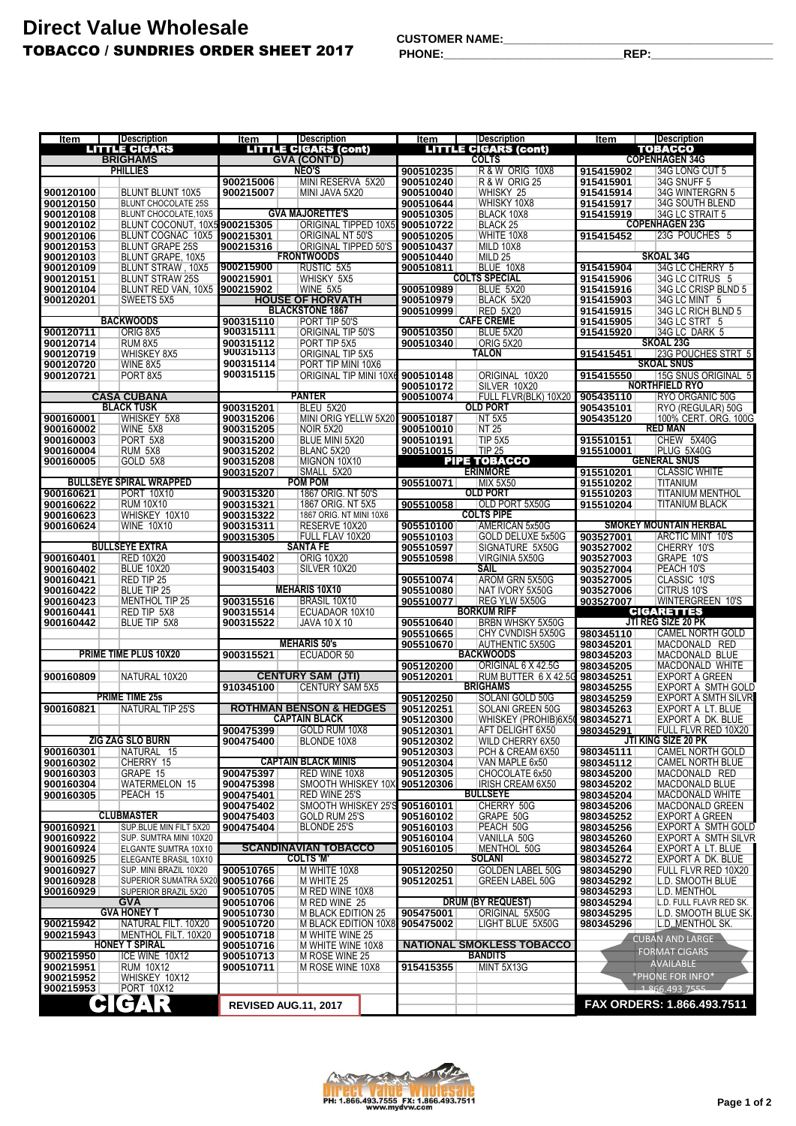## **Direct Value Wholesale** TOBACCO / SUNDRIES ORDER SHEET 2017

**CUSTOMER NAME:\_\_\_\_\_\_\_\_\_\_\_\_\_\_\_\_\_\_\_\_\_\_\_\_\_\_\_\_\_\_\_\_\_\_\_\_\_\_\_\_\_\_**

**PHONE:\_\_\_\_\_\_\_\_\_\_\_\_\_\_\_\_\_\_\_\_\_\_\_\_\_\_\_\_REP:\_\_\_\_\_\_\_\_\_\_\_\_\_\_\_\_\_\_\_**

| Item                                    | <b>Description</b>                                    | <b>Item</b>            | <b>Description</b>                                 | Item                   | <b>Description</b>                                 | Item                   | <b>Description</b>                              |
|-----------------------------------------|-------------------------------------------------------|------------------------|----------------------------------------------------|------------------------|----------------------------------------------------|------------------------|-------------------------------------------------|
| <b>LITTLE CIGARS</b><br><b>BRIGHAMS</b> |                                                       |                        | <b>LITTLE CIGARS (cont)</b><br><b>GVA (CONT'D)</b> |                        | <b>LITTLE CIGARS (cont)</b><br><b>COLTS</b>        |                        | TOBACCO<br><b>COPENHAGEN 34G</b>                |
|                                         | <b>PHILLIES</b>                                       |                        | <b>NEO'S</b>                                       | 900510235              | R&W ORIG 10X8                                      | 915415902              | 34G LONG CUT 5                                  |
|                                         |                                                       | 900215006              | MINI RESERVA 5X20                                  | 900510240              | <b>R &amp; W ORIG 25</b>                           | 915415901              | 34G SNUFF 5                                     |
| 900120100                               | <b>BLUNT BLUNT 10X5</b>                               | 900215007              | MINI JAVA 5X20                                     | 900510040              | WHISKY 25                                          | 915415914              | 34G WINTERGRN 5                                 |
| 900120150                               | <b>BLUNT CHOCOLATE 25S</b>                            |                        | <b>GVA MAJORETTE'S</b>                             | 900510644              | WHISKY 10X8                                        | 915415917              | 34G SOUTH BLEND                                 |
| 900120108<br>900120102                  | BLUNT CHOCOLATE.10X5<br>BLUNT COCONUT, 10X5 900215305 |                        | <b>ORIGINAL TIPPED 10X5</b>                        | 900510305<br>900510722 | BLACK 10X8<br><b>BLACK 25</b>                      | 915415919              | 34G LC STRAIT 5<br><b>COPENHAGEN 23G</b>        |
| 900120106                               | BLUNT COGNAC 10X5                                     | 900215301              | ORIGINAL NT 50'S                                   | 900510205              | WHITE 10X8                                         | 915415452              | 23G POUCHES 5                                   |
| 900120153                               | <b>BLUNT GRAPE 25S</b>                                | 900215316              | ORIGINAL TIPPED 50'S                               | 900510437              | MILD 10X8                                          |                        |                                                 |
| 900120103                               | BLUNT GRAPE, 10X5                                     |                        | <b>FRONTWOODS</b>                                  | 900510440              | MILD <sub>25</sub>                                 |                        | <b>SKOAL 34G</b>                                |
| 900120109<br>900120151                  | BLUNT STRAW, 10X5<br><b>BLUNT STRAW 25S</b>           | 900215900<br>900215901 | RUSTIC 5X5<br>WHISKY 5X5                           | 900510811              | BLUE 10X8<br><b>COLTS SPECIAL</b>                  | 915415904<br>915415906 | 34G LC CHERRY 5<br>34G LC CITRUS 5              |
| 900120104                               | BLUNT RED VAN, 10X5                                   | 900215902              | WINE 5X5                                           | 900510989              | BLUE 5X20                                          | 915415916              | 34G LC CRISP BLND 5                             |
| 900120201                               | SWEETS 5X5                                            |                        | <b>HOUSE OF HORVATH</b>                            | 900510979              | BLACK 5X20                                         | 915415903              | 34G LC MINT 5                                   |
|                                         |                                                       |                        | <b>BLACKSTONE 1867</b>                             | 900510999              | <b>RED 5X20</b>                                    | 915415915              | 34G LC RICH BLND 5                              |
|                                         | <b>BACKWOODS</b>                                      | 900315110<br>900315111 | PORT TIP 50'S                                      |                        | <b>CAFE CREME</b><br>BLUE 5X20                     | 915415905              | 34G LC STRT 5<br>34G LC DARK 5                  |
| 900120711<br>900120714                  | ORIG 8X5<br><b>RUM 8X5</b>                            | 900315112              | ORIGINAL TIP 50'S<br>PORT TIP 5X5                  | 900510350<br>900510340 | ORIG 5X20                                          | 915415920              | <b>SKOAL 23G</b>                                |
| 900120719                               | <b>WHISKEY 8X5</b>                                    | 900315113              | <b>ORIGINAL TIP 5X5</b>                            |                        | TALON                                              | 915415451              | 23G POUCHES STRT 5                              |
| 900120720                               | WINE 8X5                                              | 900315114              | PORT TIP MINI 10X6                                 |                        |                                                    |                        | <b>SKOAL SNUS</b>                               |
| 900120721                               | PORT 8X5                                              | 900315115              | ORIGINAL TIP MINI 10X6                             | 900510148              | ORIGINAL 10X20                                     | 915415550              | 15G SNUS ORIGINAL 5                             |
|                                         | <b>CASA CUBANA</b>                                    |                        | <b>PANTER</b>                                      | 900510172<br>900510074 | SILVER 10X20<br>FULL FLVR(BLK) 10X20 905435110     |                        | <b>NORTHFIELD RYO</b><br>RYO ORGANIC 50G        |
|                                         | <b>BLACK TUSK</b>                                     | 900315201              | BLEU 5X20                                          |                        | <b>OLD PORT</b>                                    | 905435101              | RYO (REGULAR) 50G                               |
| 900160001                               | <b>WHISKEY 5X8</b>                                    | 900315206              | MINI ORIG YELLW 5X20                               | 900510187              | <b>NT 5X5</b>                                      | 905435120              | 100% CERT. ORG. 100G                            |
| 900160002                               | WINE 5X8                                              | 900315205              | NOIR 5X20                                          | 900510010              | <b>NT 25</b>                                       |                        | <b>RED MAN</b>                                  |
| 900160003                               | PORT 5X8                                              | 900315200              | <b>BLUE MINI 5X20</b>                              | 900510191              | TIP <sub>5X5</sub><br><b>TIP 25</b>                | 915510151              | CHEW 5X40G                                      |
| 900160004<br>900160005                  | RUM 5X8<br>GOLD 5X8                                   | 900315202<br>900315208 | BLANC 5X20<br>MIGNON 10X10                         | 900510015              | PIPE TOBACCO                                       | 915510001              | PLUG 5X40G<br><b>GENERAL SNUS</b>               |
|                                         |                                                       | 900315207              | SMALL 5X20                                         |                        | <b>ERINMORE</b>                                    | 915510201              | <b>CLASSIC WHITE</b>                            |
|                                         | <b>BULLSEYE SPIRAL WRAPPED</b>                        |                        | <b>POM POM</b>                                     | 905510071              | <b>MIX 5X50</b>                                    | 915510202              | <b>TITANIUM</b>                                 |
| 900160621                               | <b>PORT 10X10</b>                                     | 900315320              | 1867 ORIG. NT 50'S                                 |                        | <b>OLD PORT</b>                                    | 915510203              | <b>TITANIUM MENTHOL</b>                         |
| 900160622                               | <b>RUM 10X10</b>                                      | 900315321              | 1867 ORIG. NT 5X5                                  | 905510058              | <b>OLD PORT 5X50G</b>                              | 915510204              | <b>TITANIUM BLACK</b>                           |
| 900160623<br>900160624                  | WHISKEY 10X10<br><b>WINE 10X10</b>                    | 900315322<br>900315311 | 1867 ORIG. NT MINI 10X6<br>RESERVE 10X20           | 905510100              | <b>COLTS PIPE</b><br>AMERICAN 5x50G                |                        | <b>SMOKEY MOUNTAIN HERBAL</b>                   |
|                                         |                                                       | 900315305              | FULL FLAV 10X20                                    | 905510103              | GOLD DELUXE 5x50G                                  | 903527001              | <b>ARCTIC MINT 10'S</b>                         |
|                                         | <b>BULLSEYE EXTRA</b>                                 |                        | <b>SANTA FE</b>                                    | 905510597              | SIGNATURE 5X50G                                    | 903527002              | CHERRY 10'S                                     |
| 900160401                               | <b>RED 10X20</b>                                      | 900315402              | <b>ORIG 10X20</b>                                  | 905510598              | VIRGINIA 5X50G                                     | 903527003              | GRAPE 10'S                                      |
| 900160402                               | <b>BLUE 10X20</b>                                     | 900315403              | SILVER 10X20                                       |                        | <b>SAIL</b>                                        | 903527004              | PEACH 10'S                                      |
| 900160421                               | RED TIP 25<br><b>BLUE TIP 25</b>                      |                        | <b>MEHARIS 10X10</b>                               | 905510074<br>905510080 | AROM GRN 5X50G<br>NAT IVORY 5X50G                  | 903527005<br>903527006 | CLASSIC 10'S<br>CITRUS 10'S                     |
| 900160422<br>900160423                  | MENTHOL TIP 25                                        | 900315516              | BRASIL 10X10                                       | 905510077              | REG YLW 5X50G                                      | 903527007              | WINTERGREEN 10'S                                |
| 900160441                               | RED TIP 5X8                                           | 900315514              | ECUADAOR 10X10                                     |                        | <b>BORKUM RIFF</b>                                 |                        | <b>CIGARETTES</b>                               |
| 900160442                               | BLUE TIP 5X8                                          | 900315522              | <b>JAVA 10 X 10</b>                                | 905510640              | BRBN WHSKY 5X50G                                   |                        | <b>JTI REG SIZE 20 PK</b>                       |
|                                         |                                                       |                        | <b>MEHARIS 50's</b>                                | 905510665              | CHY CVNDISH 5X50G                                  | 980345110              | <b>CAMEL NORTH GOLD</b>                         |
|                                         | <b>PRIME TIME PLUS 10X20</b>                          | 900315521              | ECUADOR 50                                         | 905510670              | <b>AUTHENTIC 5X50G</b><br><b>BACKWOODS</b>         | 980345201<br>980345203 | MACDONALD RED<br>MACDONALD BLUE                 |
|                                         |                                                       |                        |                                                    | 905120200              | ORIGINAL 6 X 42.5G                                 | 980345205              | MACDONALD WHITE                                 |
| 900160809                               | NATURAL 10X20                                         |                        | <b>CENTURY SAM (JTI)</b>                           | 905120201              | RUM BUTTER 6 X 42.5G 980345251                     |                        | <b>EXPORT A GREEN</b>                           |
|                                         | <b>PRIME TIME 25s</b>                                 | 910345100              | <b>CENTURY SAM 5X5</b>                             |                        | <b>BRIGHAMS</b>                                    | 980345255              | EXPORT A SMTH GOLD                              |
| 900160821                               | NATURAL TIP 25'S                                      |                        | <b>ROTHMAN BENSON &amp; HEDGES</b>                 | 905120250<br>905120251 | SOLANI GOLD 50G<br>SOLANI GREEN 50G                | 980345259<br>980345263 | <b>EXPORT A SMTH SILVR</b><br>EXPORT A LT. BLUE |
|                                         |                                                       |                        | <b>CAPTAIN BLACK</b>                               | 905120300              | WHISKEY (PROHIB)6X50 980345271                     |                        | EXPORT A DK. BLUE                               |
|                                         |                                                       | 900475399              | GOLD RUM 10X8                                      | 905120301              | AFT DELIGHT 6X50                                   | 980345291              | <b>FULL FLVR RED 10X20</b>                      |
|                                         | <b>ZIG ZAG SLO BURN</b>                               | 900475400              | BLONDE 10X8                                        | 905120302              | WILD CHERRY 6X50                                   |                        | JTI KING SIZE 20 PK                             |
| 900160301<br>900160302                  | NATURAL 15<br>CHERRY 15                               |                        | <b>CAPTAIN BLACK MINIS</b>                         | 905120303<br>905120304 | PCH & CREAM 6X50<br>VAN MAPLE 6x50                 | 980345111<br>980345112 | <b>CAMEL NORTH GOLD</b><br>CAMEL NORTH BLUE     |
| 900160303                               | GRAPE 15                                              | 900475397              | RED WINE 10X8                                      | 905120305              | CHOCOLATE 6x50                                     | 980345200              | MACDONALD RED                                   |
| 900160304                               | WATERMELON 15                                         | 900475398              | SMOOTH WHISKEY 10X                                 | 905120306              | IRISH CREAM 6X50                                   | 980345202              | <b>MACDONALD BLUE</b>                           |
| 900160305                               | PEACH 15                                              | 900475401              | <b>RED WINE 25'S</b>                               |                        | <b>BULLSEYE</b>                                    | 980345204              | <b>MACDONALD WHITE</b>                          |
|                                         |                                                       | 900475402              | SMOOTH WHISKEY 25'S                                | 905160101              | CHERRY 50G                                         | 980345206              | <b>MACDONALD GREEN</b>                          |
| 900160921                               | <b>CLUBMASTER</b><br>SUP.BLUE MIN FILT 5X20           | 900475403<br>900475404 | GOLD RUM 25'S<br>BLONDE 25'S                       | 905160102<br>905160103 | GRAPE 50G<br>PEACH 50G                             | 980345252<br>980345256 | <b>EXPORT A GREEN</b><br>EXPORT A SMTH GOLD     |
| 900160922                               | SUP. SUMTRA MINI 10X20                                |                        |                                                    | 905160104              | VANILLA 50G                                        | 980345260              | EXPORT A SMTH SILVR                             |
| 900160924                               | ELGANTE SUMTRA 10X10                                  |                        | <b>SCANDINAVIAN TOBACCO</b>                        | 905160105              | MENTHOL 50G                                        | 980345264              | EXPORT A LT. BLUE                               |
| 900160925                               | ELEGANTE BRASIL 10X10                                 |                        | <b>COLTS 'M'</b>                                   |                        | <b>SOLANI</b>                                      | 980345272              | EXPORT A DK. BLUE                               |
| 900160927                               | SUP. MINI BRAZIL 10X20                                | 900510765              | M WHITE 10X8                                       | 905120250              | <b>GOLDEN LABEL 50G</b><br><b>GREEN LABEL 50G</b>  | 980345290              | FULL FLVR RED 10X20                             |
| 900160928<br>900160929                  | SUPERIOR SUMATRA 5X20<br>SUPERIOR BRAZIL 5X20         | 900510766<br>900510705 | M WHITE 25<br>M RED WINE 10X8                      | 905120251              |                                                    | 980345292<br>980345293 | L.D. SMOOTH BLUE<br><b>L.D. MENTHOL</b>         |
|                                         | GVA                                                   | 900510706              | M RED WINE 25                                      |                        | <b>DRUM (BY REQUEST)</b>                           | 980345294              | L.D. FULL FLAVR RED SK.                         |
|                                         | <b>GVA HONEY T</b>                                    | 900510730              | <b>M BLACK EDITION 25</b>                          | 905475001              | ORIGINAL 5X50G                                     | 980345295              | L.D. SMOOTH BLUE SK.                            |
| 900215942                               | NATURAL FILT. 10X20                                   | 900510720              | M BLACK EDITION 10X8                               | 905475002              | LIGHT BLUE 5X50G                                   | 980345296              | L.D. MENTHOL SK.                                |
| 900215943                               | MENTHOL FILT. 10X20                                   | 900510718              | M WHITE WINE 25                                    |                        |                                                    |                        | <b>CUBAN AND LARGE</b>                          |
| 900215950                               | <b>HONEY T SPIRAL</b><br>ICE WINE 10X12               | 900510716<br>900510713 | M WHITE WINE 10X8<br>M ROSE WINE 25                |                        | <b>NATIONAL SMOKLESS TOBACCO</b><br><b>BANDITS</b> |                        | <b>FORMAT CIGARS</b>                            |
| 900215951                               | <b>RUM 10X12</b>                                      | 900510711              | M ROSE WINE 10X8                                   | 915415355              | MINT 5X13G                                         |                        | <b>AVAILABLE</b>                                |
| 900215952                               | WHISKEY 10X12                                         |                        |                                                    |                        |                                                    |                        | *PHONE FOR INFO*                                |
| 900215953                               | <b>PORT 10X12</b>                                     |                        |                                                    |                        |                                                    |                        | 1 866.493.7555                                  |
|                                         | GAR<br>$\bullet$                                      |                        | REVISED AUG.11, 2017                               |                        |                                                    |                        | FAX ORDERS: 1.866.493.7511                      |
|                                         |                                                       |                        |                                                    |                        |                                                    |                        |                                                 |